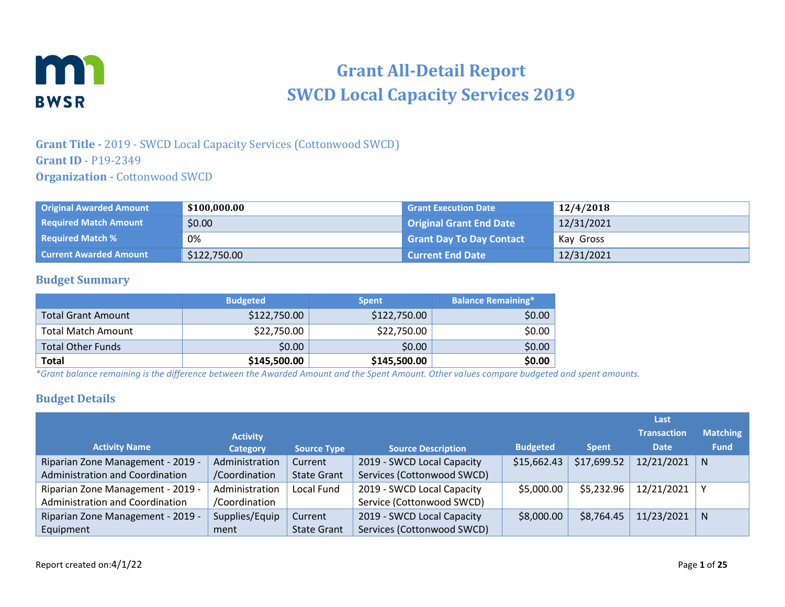

# **Grant All-Detail Report SWCD Local Capacity Services 2019**

## **Grant Title -** 2019 - SWCD Local Capacity Services (Cottonwood SWCD) **Grant ID** - P19-2349 **Organization -** Cottonwood SWCD

| <b>Original Awarded Amount</b> | \$100,000.00 | <b>Grant Execution Date</b>     | 12/4/2018  |
|--------------------------------|--------------|---------------------------------|------------|
| <b>Required Match Amount</b>   | \$0.00       | Original Grant End Date         | 12/31/2021 |
| <b>Required Match %</b>        | 0%           | <b>Grant Day To Day Contact</b> | Kay Gross  |
| <b>Current Awarded Amount</b>  | \$122,750.00 | <b>Current End Date</b>         | 12/31/2021 |

### **Budget Summary**

|                           | <b>Budgeted</b> | <b>Spent</b> | <b>Balance Remaining*</b> |
|---------------------------|-----------------|--------------|---------------------------|
| <b>Total Grant Amount</b> | \$122,750.00    | \$122,750.00 | \$0.00                    |
| <b>Total Match Amount</b> | \$22,750.00     | \$22,750.00  | \$0.00                    |
| <b>Total Other Funds</b>  | \$0.00          | \$0.00       | \$0.00                    |
| <b>Total</b>              | \$145,500.00    | \$145,500.00 | \$0.00                    |

*\*Grant balance remaining is the difference between the Awarded Amount and the Spent Amount. Other values compare budgeted and spent amounts.*

## **Budget Details**

|                                   |                 |                    |                            |                 |              | Last               |                 |
|-----------------------------------|-----------------|--------------------|----------------------------|-----------------|--------------|--------------------|-----------------|
|                                   | <b>Activity</b> |                    |                            |                 |              | <b>Transaction</b> | <b>Matching</b> |
| <b>Activity Name</b>              | <b>Category</b> | <b>Source Type</b> | <b>Source Description</b>  | <b>Budgeted</b> | <b>Spent</b> | <b>Date</b>        | <b>Fund</b>     |
| Riparian Zone Management - 2019 - | Administration  | Current            | 2019 - SWCD Local Capacity | \$15,662.43     | \$17,699.52  | 12/21/2021         | N               |
| Administration and Coordination   | /Coordination   | <b>State Grant</b> | Services (Cottonwood SWCD) |                 |              |                    |                 |
| Riparian Zone Management - 2019 - | Administration  | Local Fund         | 2019 - SWCD Local Capacity | \$5,000.00      | \$5,232.96   | 12/21/2021         | ν               |
| Administration and Coordination   | /Coordination   |                    | Service (Cottonwood SWCD)  |                 |              |                    |                 |
| Riparian Zone Management - 2019 - | Supplies/Equip  | Current            | 2019 - SWCD Local Capacity | \$8,000.00      | \$8,764.45   | 11/23/2021         | N               |
| Equipment                         | ment            | <b>State Grant</b> | Services (Cottonwood SWCD) |                 |              |                    |                 |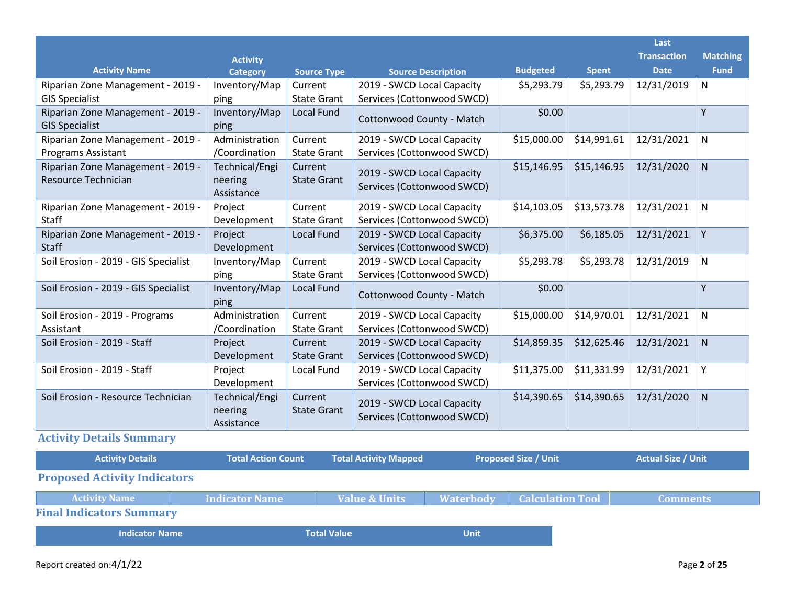|                                      |                       |                    |                            |                 |              | Last               |                 |
|--------------------------------------|-----------------------|--------------------|----------------------------|-----------------|--------------|--------------------|-----------------|
|                                      | <b>Activity</b>       |                    |                            |                 |              | <b>Transaction</b> | <b>Matching</b> |
| <b>Activity Name</b>                 | <b>Category</b>       | <b>Source Type</b> | <b>Source Description</b>  | <b>Budgeted</b> | <b>Spent</b> | <b>Date</b>        | <b>Fund</b>     |
| Riparian Zone Management - 2019 -    | Inventory/Map         | Current            | 2019 - SWCD Local Capacity | \$5,293.79      | \$5,293.79   | 12/31/2019         | N               |
| <b>GIS Specialist</b>                | ping                  | <b>State Grant</b> | Services (Cottonwood SWCD) |                 |              |                    |                 |
| Riparian Zone Management - 2019 -    | Inventory/Map         | Local Fund         | Cottonwood County - Match  | \$0.00          |              |                    | Y               |
| <b>GIS Specialist</b>                | ping                  |                    |                            |                 |              |                    |                 |
| Riparian Zone Management - 2019 -    | Administration        | Current            | 2019 - SWCD Local Capacity | \$15,000.00     | \$14,991.61  | 12/31/2021         | N               |
| <b>Programs Assistant</b>            | /Coordination         | State Grant        | Services (Cottonwood SWCD) |                 |              |                    |                 |
| Riparian Zone Management - 2019 -    | Technical/Engi        | Current            | 2019 - SWCD Local Capacity | \$15,146.95     | \$15,146.95  | 12/31/2020         | ${\sf N}$       |
| Resource Technician                  | neering               | <b>State Grant</b> | Services (Cottonwood SWCD) |                 |              |                    |                 |
|                                      | Assistance            |                    |                            |                 |              |                    |                 |
| Riparian Zone Management - 2019 -    | Project               | Current            | 2019 - SWCD Local Capacity | \$14,103.05     | \$13,573.78  | 12/31/2021         | N               |
| Staff                                | Development           | <b>State Grant</b> | Services (Cottonwood SWCD) |                 |              |                    |                 |
| Riparian Zone Management - 2019 -    | Project               | <b>Local Fund</b>  | 2019 - SWCD Local Capacity | \$6,375.00      | \$6,185.05   | 12/31/2021         | Υ               |
| <b>Staff</b>                         | Development           |                    | Services (Cottonwood SWCD) |                 |              |                    |                 |
| Soil Erosion - 2019 - GIS Specialist | Inventory/Map         | Current            | 2019 - SWCD Local Capacity | \$5,293.78      | \$5,293.78   | 12/31/2019         | N               |
|                                      | ping                  | <b>State Grant</b> | Services (Cottonwood SWCD) |                 |              |                    |                 |
| Soil Erosion - 2019 - GIS Specialist | Inventory/Map<br>ping | <b>Local Fund</b>  | Cottonwood County - Match  | \$0.00          |              |                    | Y               |
| Soil Erosion - 2019 - Programs       | Administration        | Current            | 2019 - SWCD Local Capacity | \$15,000.00     | \$14,970.01  | 12/31/2021         | N               |
| Assistant                            | /Coordination         | <b>State Grant</b> | Services (Cottonwood SWCD) |                 |              |                    |                 |
| Soil Erosion - 2019 - Staff          | Project               | Current            | 2019 - SWCD Local Capacity | \$14,859.35     | \$12,625.46  | 12/31/2021         | ${\sf N}$       |
|                                      | Development           | <b>State Grant</b> | Services (Cottonwood SWCD) |                 |              |                    |                 |
| Soil Erosion - 2019 - Staff          | Project               | Local Fund         | 2019 - SWCD Local Capacity | \$11,375.00     | \$11,331.99  | 12/31/2021         | Y               |
|                                      | Development           |                    | Services (Cottonwood SWCD) |                 |              |                    |                 |
| Soil Erosion - Resource Technician   | Technical/Engi        | Current            | 2019 - SWCD Local Capacity | \$14,390.65     | \$14,390.65  | 12/31/2020         | N               |
|                                      | neering               | <b>State Grant</b> | Services (Cottonwood SWCD) |                 |              |                    |                 |
|                                      | Assistance            |                    |                            |                 |              |                    |                 |

**Activity Details Summary**

| <b>Activity Details</b>             | <b>Total Action Count</b> | <b>Total Activity Mapped</b> |                  | <b>Proposed Size / Unit</b> | <b>Actual Size / Unit</b> |
|-------------------------------------|---------------------------|------------------------------|------------------|-----------------------------|---------------------------|
| <b>Proposed Activity Indicators</b> |                           |                              |                  |                             |                           |
| <b>Activity Name</b>                | <b>Indicator Name</b>     | <b>Value &amp; Units</b>     | <b>Waterbody</b> | <b>Calculation Tool</b>     | <b>Comments</b>           |
| <b>Final Indicators Summary</b>     |                           |                              |                  |                             |                           |
| <b>Indicator Name</b>               |                           | <b>Total Value</b>           | <b>Unit</b>      |                             |                           |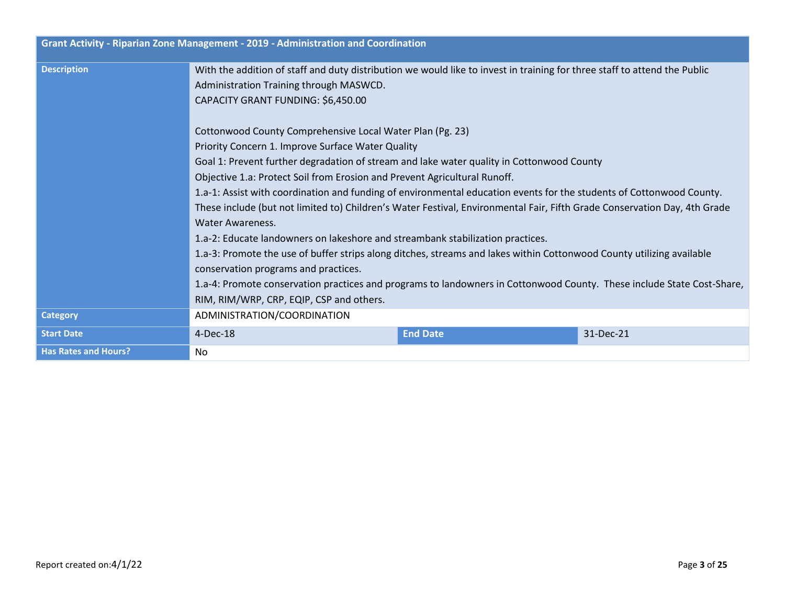|                             | Grant Activity - Riparian Zone Management - 2019 - Administration and Coordination                                                                                                                                                                                                                                                                                                                                                                                                                   |                 |           |  |  |
|-----------------------------|------------------------------------------------------------------------------------------------------------------------------------------------------------------------------------------------------------------------------------------------------------------------------------------------------------------------------------------------------------------------------------------------------------------------------------------------------------------------------------------------------|-----------------|-----------|--|--|
| <b>Description</b>          | With the addition of staff and duty distribution we would like to invest in training for three staff to attend the Public<br>Administration Training through MASWCD.<br>CAPACITY GRANT FUNDING: \$6,450.00<br>Cottonwood County Comprehensive Local Water Plan (Pg. 23)                                                                                                                                                                                                                              |                 |           |  |  |
|                             | Priority Concern 1. Improve Surface Water Quality<br>Goal 1: Prevent further degradation of stream and lake water quality in Cottonwood County<br>Objective 1.a: Protect Soil from Erosion and Prevent Agricultural Runoff.<br>1.a-1: Assist with coordination and funding of environmental education events for the students of Cottonwood County.<br>These include (but not limited to) Children's Water Festival, Environmental Fair, Fifth Grade Conservation Day, 4th Grade<br>Water Awareness. |                 |           |  |  |
|                             | 1.a-2: Educate landowners on lakeshore and streambank stabilization practices.<br>1.a-3: Promote the use of buffer strips along ditches, streams and lakes within Cottonwood County utilizing available<br>conservation programs and practices.<br>1.a-4: Promote conservation practices and programs to landowners in Cottonwood County. These include State Cost-Share,<br>RIM, RIM/WRP, CRP, EQIP, CSP and others.                                                                                |                 |           |  |  |
| <b>Category</b>             | ADMINISTRATION/COORDINATION                                                                                                                                                                                                                                                                                                                                                                                                                                                                          |                 |           |  |  |
| <b>Start Date</b>           | 4-Dec-18                                                                                                                                                                                                                                                                                                                                                                                                                                                                                             | <b>End Date</b> | 31-Dec-21 |  |  |
| <b>Has Rates and Hours?</b> | No.                                                                                                                                                                                                                                                                                                                                                                                                                                                                                                  |                 |           |  |  |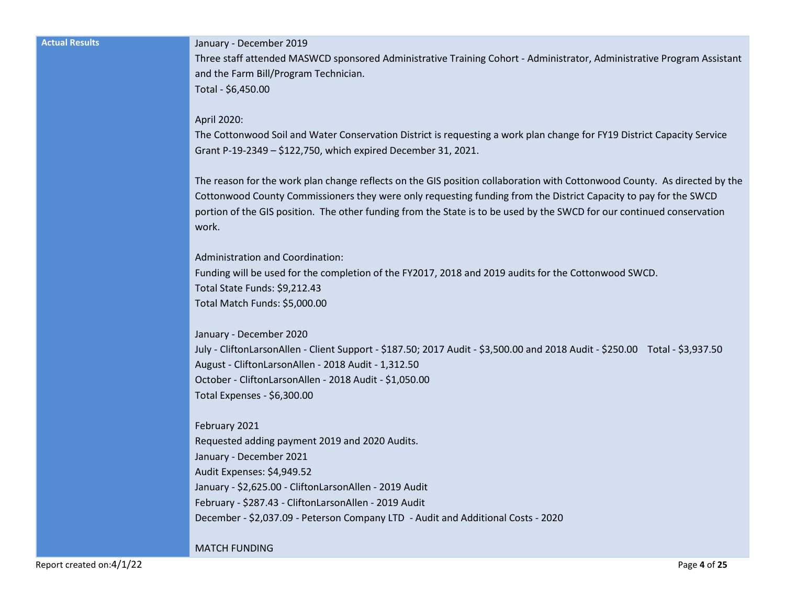#### **Actual Results** January - December 2019

Three staff attended MASWCD sponsored Administrative Training Cohort - Administrator, Administrative Program Assistant and the Farm Bill/Program Technician.

Total - \$6,450.00

#### April 2020:

The Cottonwood Soil and Water Conservation District is requesting a work plan change for FY19 District Capacity Service Grant P-19-2349 – \$122,750, which expired December 31, 2021.

The reason for the work plan change reflects on the GIS position collaboration with Cottonwood County. As directed by the Cottonwood County Commissioners they were only requesting funding from the District Capacity to pay for the SWCD portion of the GIS position. The other funding from the State is to be used by the SWCD for our continued conservation work.

Administration and Coordination:

Funding will be used for the completion of the FY2017, 2018 and 2019 audits for the Cottonwood SWCD. Total State Funds: \$9,212.43 Total Match Funds: \$5,000.00

January - December 2020 July - CliftonLarsonAllen - Client Support - \$187.50; 2017 Audit - \$3,500.00 and 2018 Audit - \$250.00 Total - \$3,937.50 August - CliftonLarsonAllen - 2018 Audit - 1,312.50 October - CliftonLarsonAllen - 2018 Audit - \$1,050.00 Total Expenses - \$6,300.00

February 2021 Requested adding payment 2019 and 2020 Audits. January - December 2021 Audit Expenses: \$4,949.52 January - \$2,625.00 - CliftonLarsonAllen - 2019 Audit February - \$287.43 - CliftonLarsonAllen - 2019 Audit December - \$2,037.09 - Peterson Company LTD - Audit and Additional Costs - 2020

MATCH FUNDING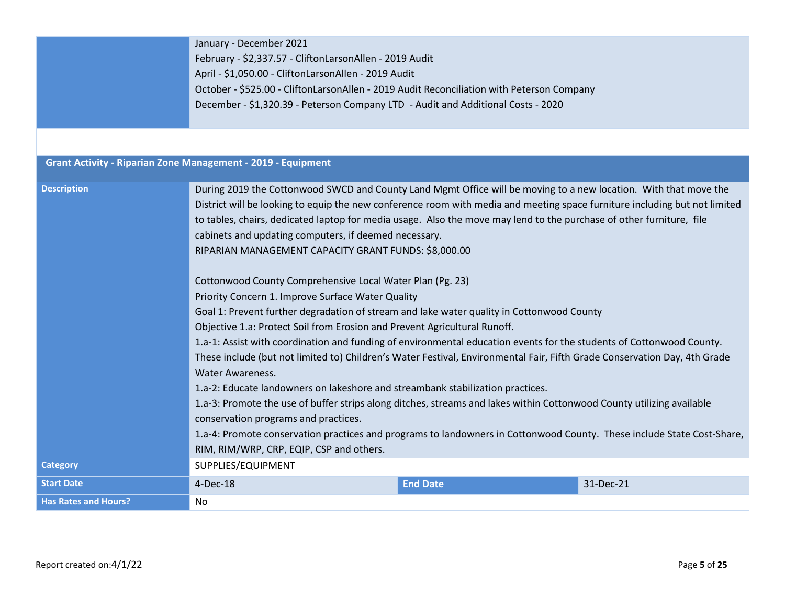|                             | January - December 2021                                                                                                                                       |                                                                                           |           |  |  |  |  |
|-----------------------------|---------------------------------------------------------------------------------------------------------------------------------------------------------------|-------------------------------------------------------------------------------------------|-----------|--|--|--|--|
|                             | February - \$2,337.57 - CliftonLarsonAllen - 2019 Audit                                                                                                       |                                                                                           |           |  |  |  |  |
|                             | April - \$1,050.00 - CliftonLarsonAllen - 2019 Audit                                                                                                          |                                                                                           |           |  |  |  |  |
|                             |                                                                                                                                                               | October - \$525.00 - CliftonLarsonAllen - 2019 Audit Reconciliation with Peterson Company |           |  |  |  |  |
|                             |                                                                                                                                                               | December - \$1,320.39 - Peterson Company LTD - Audit and Additional Costs - 2020          |           |  |  |  |  |
|                             |                                                                                                                                                               |                                                                                           |           |  |  |  |  |
|                             |                                                                                                                                                               |                                                                                           |           |  |  |  |  |
|                             | <b>Grant Activity - Riparian Zone Management - 2019 - Equipment</b>                                                                                           |                                                                                           |           |  |  |  |  |
| <b>Description</b>          | During 2019 the Cottonwood SWCD and County Land Mgmt Office will be moving to a new location. With that move the                                              |                                                                                           |           |  |  |  |  |
|                             | District will be looking to equip the new conference room with media and meeting space furniture including but not limited                                    |                                                                                           |           |  |  |  |  |
|                             | to tables, chairs, dedicated laptop for media usage. Also the move may lend to the purchase of other furniture, file                                          |                                                                                           |           |  |  |  |  |
|                             | cabinets and updating computers, if deemed necessary.                                                                                                         |                                                                                           |           |  |  |  |  |
|                             | RIPARIAN MANAGEMENT CAPACITY GRANT FUNDS: \$8,000.00                                                                                                          |                                                                                           |           |  |  |  |  |
|                             |                                                                                                                                                               |                                                                                           |           |  |  |  |  |
|                             | Cottonwood County Comprehensive Local Water Plan (Pg. 23)                                                                                                     |                                                                                           |           |  |  |  |  |
|                             | Priority Concern 1. Improve Surface Water Quality                                                                                                             |                                                                                           |           |  |  |  |  |
|                             | Goal 1: Prevent further degradation of stream and lake water quality in Cottonwood County                                                                     |                                                                                           |           |  |  |  |  |
|                             | Objective 1.a: Protect Soil from Erosion and Prevent Agricultural Runoff.                                                                                     |                                                                                           |           |  |  |  |  |
|                             | 1.a-1: Assist with coordination and funding of environmental education events for the students of Cottonwood County.                                          |                                                                                           |           |  |  |  |  |
|                             | These include (but not limited to) Children's Water Festival, Environmental Fair, Fifth Grade Conservation Day, 4th Grade                                     |                                                                                           |           |  |  |  |  |
|                             | <b>Water Awareness.</b>                                                                                                                                       |                                                                                           |           |  |  |  |  |
|                             | 1.a-2: Educate landowners on lakeshore and streambank stabilization practices.                                                                                |                                                                                           |           |  |  |  |  |
|                             |                                                                                                                                                               |                                                                                           |           |  |  |  |  |
|                             | 1.a-3: Promote the use of buffer strips along ditches, streams and lakes within Cottonwood County utilizing available<br>conservation programs and practices. |                                                                                           |           |  |  |  |  |
|                             | 1.a-4: Promote conservation practices and programs to landowners in Cottonwood County. These include State Cost-Share,                                        |                                                                                           |           |  |  |  |  |
|                             | RIM, RIM/WRP, CRP, EQIP, CSP and others.                                                                                                                      |                                                                                           |           |  |  |  |  |
| <b>Category</b>             |                                                                                                                                                               |                                                                                           |           |  |  |  |  |
|                             | SUPPLIES/EQUIPMENT                                                                                                                                            |                                                                                           |           |  |  |  |  |
| <b>Start Date</b>           | 4-Dec-18                                                                                                                                                      | <b>End Date</b>                                                                           | 31-Dec-21 |  |  |  |  |
| <b>Has Rates and Hours?</b> | No                                                                                                                                                            |                                                                                           |           |  |  |  |  |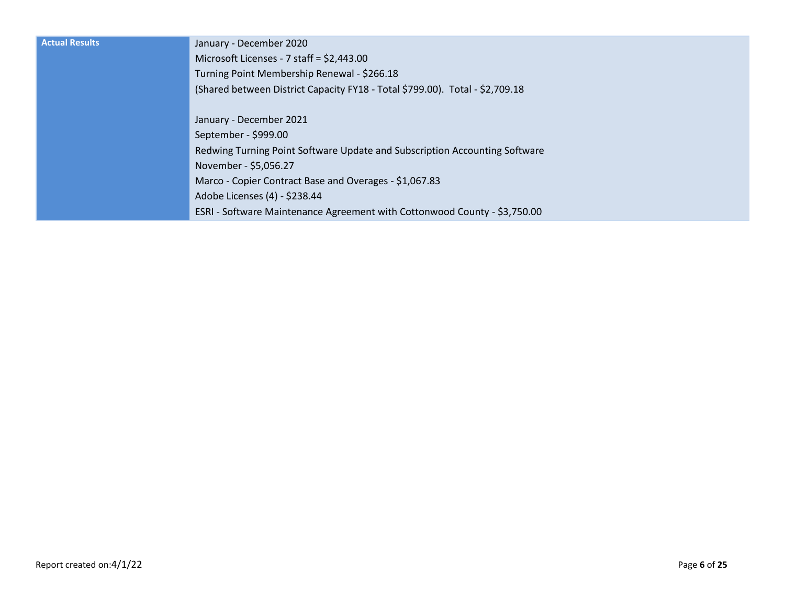| <b>Actual Results</b> | January - December 2020                                                      |
|-----------------------|------------------------------------------------------------------------------|
|                       | Microsoft Licenses - 7 staff = $$2,443.00$                                   |
|                       | Turning Point Membership Renewal - \$266.18                                  |
|                       | (Shared between District Capacity FY18 - Total \$799.00). Total - \$2,709.18 |
|                       |                                                                              |
|                       | January - December 2021                                                      |
|                       | September - \$999.00                                                         |
|                       | Redwing Turning Point Software Update and Subscription Accounting Software   |
|                       | November - \$5,056.27                                                        |
|                       | Marco - Copier Contract Base and Overages - \$1,067.83                       |
|                       | Adobe Licenses (4) - \$238.44                                                |
|                       | ESRI - Software Maintenance Agreement with Cottonwood County - \$3,750.00    |
|                       |                                                                              |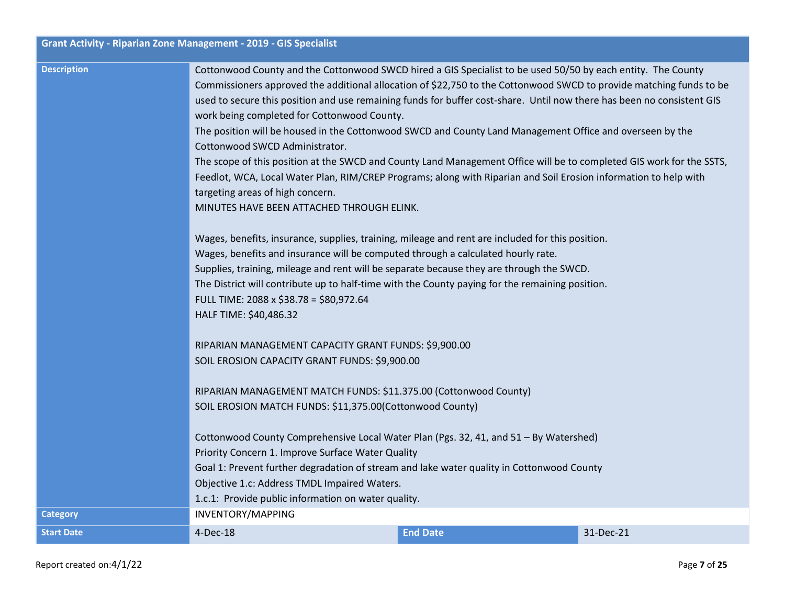|                    | Grant Activity - Riparian Zone Management - 2019 - GIS Specialist                                                      |                 |           |  |  |  |
|--------------------|------------------------------------------------------------------------------------------------------------------------|-----------------|-----------|--|--|--|
| <b>Description</b> | Cottonwood County and the Cottonwood SWCD hired a GIS Specialist to be used 50/50 by each entity. The County           |                 |           |  |  |  |
|                    | Commissioners approved the additional allocation of \$22,750 to the Cottonwood SWCD to provide matching funds to be    |                 |           |  |  |  |
|                    | used to secure this position and use remaining funds for buffer cost-share. Until now there has been no consistent GIS |                 |           |  |  |  |
|                    | work being completed for Cottonwood County.                                                                            |                 |           |  |  |  |
|                    | The position will be housed in the Cottonwood SWCD and County Land Management Office and overseen by the               |                 |           |  |  |  |
|                    | Cottonwood SWCD Administrator.                                                                                         |                 |           |  |  |  |
|                    | The scope of this position at the SWCD and County Land Management Office will be to completed GIS work for the SSTS,   |                 |           |  |  |  |
|                    | Feedlot, WCA, Local Water Plan, RIM/CREP Programs; along with Riparian and Soil Erosion information to help with       |                 |           |  |  |  |
|                    | targeting areas of high concern.                                                                                       |                 |           |  |  |  |
|                    | MINUTES HAVE BEEN ATTACHED THROUGH ELINK.                                                                              |                 |           |  |  |  |
|                    | Wages, benefits, insurance, supplies, training, mileage and rent are included for this position.                       |                 |           |  |  |  |
|                    | Wages, benefits and insurance will be computed through a calculated hourly rate.                                       |                 |           |  |  |  |
|                    | Supplies, training, mileage and rent will be separate because they are through the SWCD.                               |                 |           |  |  |  |
|                    | The District will contribute up to half-time with the County paying for the remaining position.                        |                 |           |  |  |  |
|                    | FULL TIME: 2088 x \$38.78 = \$80,972.64                                                                                |                 |           |  |  |  |
|                    | HALF TIME: \$40,486.32                                                                                                 |                 |           |  |  |  |
|                    | RIPARIAN MANAGEMENT CAPACITY GRANT FUNDS: \$9,900.00                                                                   |                 |           |  |  |  |
|                    | SOIL EROSION CAPACITY GRANT FUNDS: \$9,900.00                                                                          |                 |           |  |  |  |
|                    | RIPARIAN MANAGEMENT MATCH FUNDS: \$11.375.00 (Cottonwood County)                                                       |                 |           |  |  |  |
|                    | SOIL EROSION MATCH FUNDS: \$11,375.00(Cottonwood County)                                                               |                 |           |  |  |  |
|                    | Cottonwood County Comprehensive Local Water Plan (Pgs. 32, 41, and 51 - By Watershed)                                  |                 |           |  |  |  |
|                    | Priority Concern 1. Improve Surface Water Quality                                                                      |                 |           |  |  |  |
|                    | Goal 1: Prevent further degradation of stream and lake water quality in Cottonwood County                              |                 |           |  |  |  |
|                    | Objective 1.c: Address TMDL Impaired Waters.                                                                           |                 |           |  |  |  |
|                    | 1.c.1: Provide public information on water quality.                                                                    |                 |           |  |  |  |
| <b>Category</b>    | INVENTORY/MAPPING                                                                                                      |                 |           |  |  |  |
| <b>Start Date</b>  | 4-Dec-18                                                                                                               | <b>End Date</b> | 31-Dec-21 |  |  |  |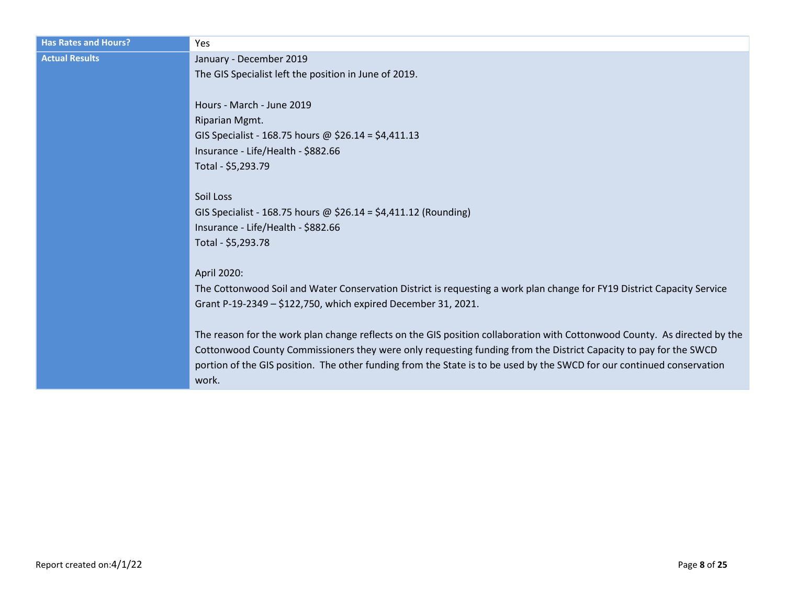| <b>Has Rates and Hours?</b> | <b>Yes</b>                                                                                                                |
|-----------------------------|---------------------------------------------------------------------------------------------------------------------------|
| <b>Actual Results</b>       | January - December 2019                                                                                                   |
|                             | The GIS Specialist left the position in June of 2019.                                                                     |
|                             |                                                                                                                           |
|                             | Hours - March - June 2019                                                                                                 |
|                             | Riparian Mgmt.                                                                                                            |
|                             | GIS Specialist - 168.75 hours @ \$26.14 = \$4,411.13                                                                      |
|                             | Insurance - Life/Health - \$882.66                                                                                        |
|                             | Total - \$5,293.79                                                                                                        |
|                             |                                                                                                                           |
|                             | Soil Loss                                                                                                                 |
|                             | GIS Specialist - 168.75 hours @ \$26.14 = \$4,411.12 (Rounding)<br>Insurance - Life/Health - \$882.66                     |
|                             | Total - \$5,293.78                                                                                                        |
|                             |                                                                                                                           |
|                             | April 2020:                                                                                                               |
|                             | The Cottonwood Soil and Water Conservation District is requesting a work plan change for FY19 District Capacity Service   |
|                             | Grant P-19-2349 - \$122,750, which expired December 31, 2021.                                                             |
|                             |                                                                                                                           |
|                             | The reason for the work plan change reflects on the GIS position collaboration with Cottonwood County. As directed by the |
|                             | Cottonwood County Commissioners they were only requesting funding from the District Capacity to pay for the SWCD          |
|                             | portion of the GIS position. The other funding from the State is to be used by the SWCD for our continued conservation    |
|                             | work.                                                                                                                     |
|                             |                                                                                                                           |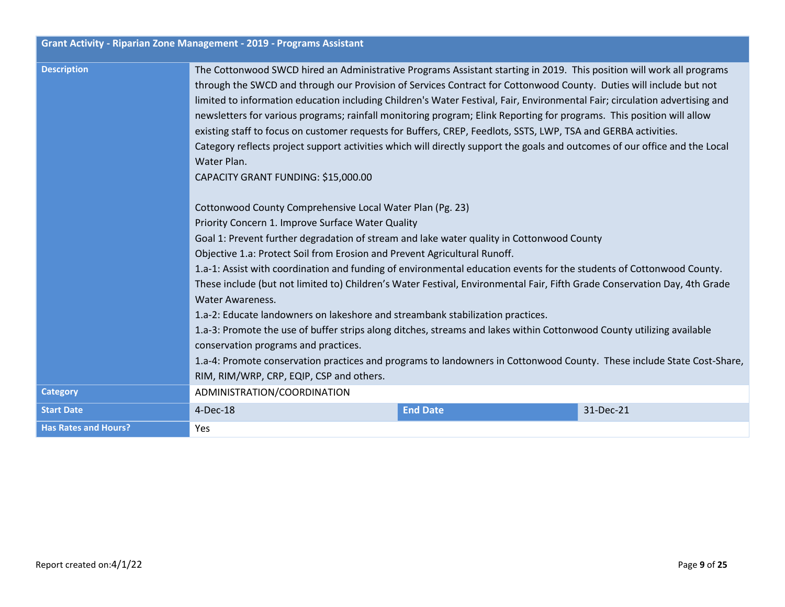|                             | <b>Grant Activity - Riparian Zone Management - 2019 - Programs Assistant</b>                                                                                                                                                                                                                                                                                                                                                                                                                                                                                                                                                                                                                                                                                                                                                                                                                                                                                                               |                 |           |  |  |
|-----------------------------|--------------------------------------------------------------------------------------------------------------------------------------------------------------------------------------------------------------------------------------------------------------------------------------------------------------------------------------------------------------------------------------------------------------------------------------------------------------------------------------------------------------------------------------------------------------------------------------------------------------------------------------------------------------------------------------------------------------------------------------------------------------------------------------------------------------------------------------------------------------------------------------------------------------------------------------------------------------------------------------------|-----------------|-----------|--|--|
| <b>Description</b>          | The Cottonwood SWCD hired an Administrative Programs Assistant starting in 2019. This position will work all programs<br>through the SWCD and through our Provision of Services Contract for Cottonwood County. Duties will include but not<br>limited to information education including Children's Water Festival, Fair, Environmental Fair; circulation advertising and<br>newsletters for various programs; rainfall monitoring program; Elink Reporting for programs. This position will allow<br>existing staff to focus on customer requests for Buffers, CREP, Feedlots, SSTS, LWP, TSA and GERBA activities.<br>Category reflects project support activities which will directly support the goals and outcomes of our office and the Local<br>Water Plan.<br>CAPACITY GRANT FUNDING: \$15,000.00                                                                                                                                                                                 |                 |           |  |  |
|                             | Cottonwood County Comprehensive Local Water Plan (Pg. 23)<br>Priority Concern 1. Improve Surface Water Quality<br>Goal 1: Prevent further degradation of stream and lake water quality in Cottonwood County<br>Objective 1.a: Protect Soil from Erosion and Prevent Agricultural Runoff.<br>1.a-1: Assist with coordination and funding of environmental education events for the students of Cottonwood County.<br>These include (but not limited to) Children's Water Festival, Environmental Fair, Fifth Grade Conservation Day, 4th Grade<br>Water Awareness.<br>1.a-2: Educate landowners on lakeshore and streambank stabilization practices.<br>1.a-3: Promote the use of buffer strips along ditches, streams and lakes within Cottonwood County utilizing available<br>conservation programs and practices.<br>1.a-4: Promote conservation practices and programs to landowners in Cottonwood County. These include State Cost-Share,<br>RIM, RIM/WRP, CRP, EQIP, CSP and others. |                 |           |  |  |
| <b>Category</b>             | ADMINISTRATION/COORDINATION                                                                                                                                                                                                                                                                                                                                                                                                                                                                                                                                                                                                                                                                                                                                                                                                                                                                                                                                                                |                 |           |  |  |
| <b>Start Date</b>           | 4-Dec-18                                                                                                                                                                                                                                                                                                                                                                                                                                                                                                                                                                                                                                                                                                                                                                                                                                                                                                                                                                                   | <b>End Date</b> | 31-Dec-21 |  |  |
| <b>Has Rates and Hours?</b> | Yes                                                                                                                                                                                                                                                                                                                                                                                                                                                                                                                                                                                                                                                                                                                                                                                                                                                                                                                                                                                        |                 |           |  |  |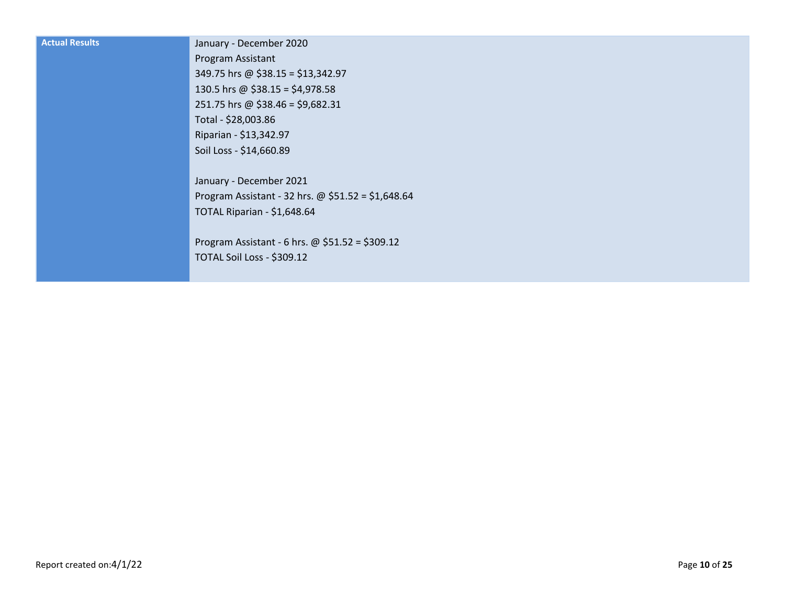| <b>Actual Results</b> | January - December 2020                            |
|-----------------------|----------------------------------------------------|
|                       | Program Assistant                                  |
|                       | 349.75 hrs @ \$38.15 = \$13,342.97                 |
|                       | 130.5 hrs @ \$38.15 = \$4,978.58                   |
|                       | 251.75 hrs @ \$38.46 = \$9,682.31                  |
|                       | Total - \$28,003.86                                |
|                       | Riparian - \$13,342.97                             |
|                       | Soil Loss - \$14,660.89                            |
|                       |                                                    |
|                       | January - December 2021                            |
|                       | Program Assistant - 32 hrs. @ \$51.52 = \$1,648.64 |
|                       | TOTAL Riparian - \$1,648.64                        |
|                       |                                                    |
|                       | Program Assistant - 6 hrs. @ \$51.52 = \$309.12    |
|                       | TOTAL Soil Loss - \$309.12                         |
|                       |                                                    |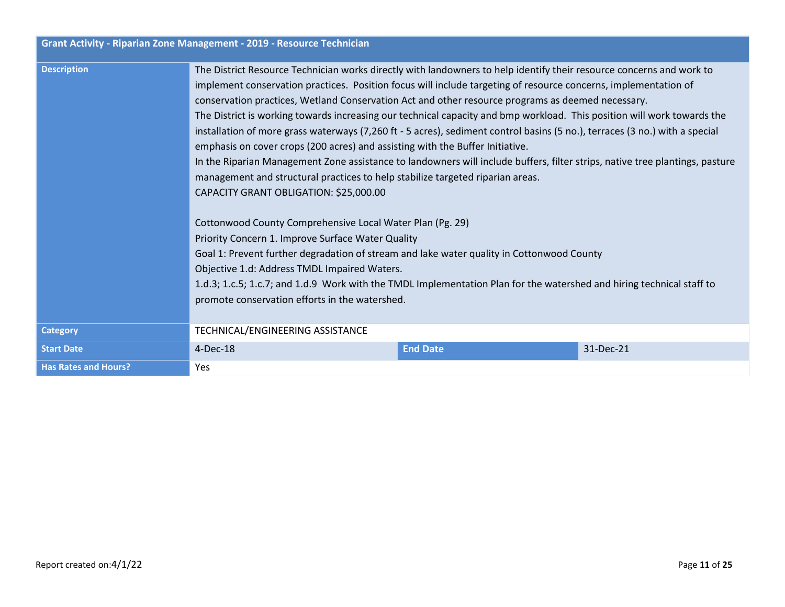| Grant Activity - Riparian Zone Management - 2019 - Resource Technician |                                                                                                                                                                                                                                                                                                                                                                                                                                                                                                                                                                                                                                                                                                                                                                                                                                                                                                                                                                                                                                                                                                                                                                                                                                                                                                                                                                                               |                 |           |
|------------------------------------------------------------------------|-----------------------------------------------------------------------------------------------------------------------------------------------------------------------------------------------------------------------------------------------------------------------------------------------------------------------------------------------------------------------------------------------------------------------------------------------------------------------------------------------------------------------------------------------------------------------------------------------------------------------------------------------------------------------------------------------------------------------------------------------------------------------------------------------------------------------------------------------------------------------------------------------------------------------------------------------------------------------------------------------------------------------------------------------------------------------------------------------------------------------------------------------------------------------------------------------------------------------------------------------------------------------------------------------------------------------------------------------------------------------------------------------|-----------------|-----------|
| <b>Description</b>                                                     | The District Resource Technician works directly with landowners to help identify their resource concerns and work to<br>implement conservation practices. Position focus will include targeting of resource concerns, implementation of<br>conservation practices, Wetland Conservation Act and other resource programs as deemed necessary.<br>The District is working towards increasing our technical capacity and bmp workload. This position will work towards the<br>installation of more grass waterways (7,260 ft - 5 acres), sediment control basins (5 no.), terraces (3 no.) with a special<br>emphasis on cover crops (200 acres) and assisting with the Buffer Initiative.<br>In the Riparian Management Zone assistance to landowners will include buffers, filter strips, native tree plantings, pasture<br>management and structural practices to help stabilize targeted riparian areas.<br>CAPACITY GRANT OBLIGATION: \$25,000.00<br>Cottonwood County Comprehensive Local Water Plan (Pg. 29)<br>Priority Concern 1. Improve Surface Water Quality<br>Goal 1: Prevent further degradation of stream and lake water quality in Cottonwood County<br>Objective 1.d: Address TMDL Impaired Waters.<br>1.d.3; 1.c.5; 1.c.7; and 1.d.9 Work with the TMDL Implementation Plan for the watershed and hiring technical staff to<br>promote conservation efforts in the watershed. |                 |           |
| <b>Category</b>                                                        | TECHNICAL/ENGINEERING ASSISTANCE                                                                                                                                                                                                                                                                                                                                                                                                                                                                                                                                                                                                                                                                                                                                                                                                                                                                                                                                                                                                                                                                                                                                                                                                                                                                                                                                                              |                 |           |
| <b>Start Date</b>                                                      | $4-Dec-18$                                                                                                                                                                                                                                                                                                                                                                                                                                                                                                                                                                                                                                                                                                                                                                                                                                                                                                                                                                                                                                                                                                                                                                                                                                                                                                                                                                                    | <b>End Date</b> | 31-Dec-21 |
| <b>Has Rates and Hours?</b>                                            | Yes                                                                                                                                                                                                                                                                                                                                                                                                                                                                                                                                                                                                                                                                                                                                                                                                                                                                                                                                                                                                                                                                                                                                                                                                                                                                                                                                                                                           |                 |           |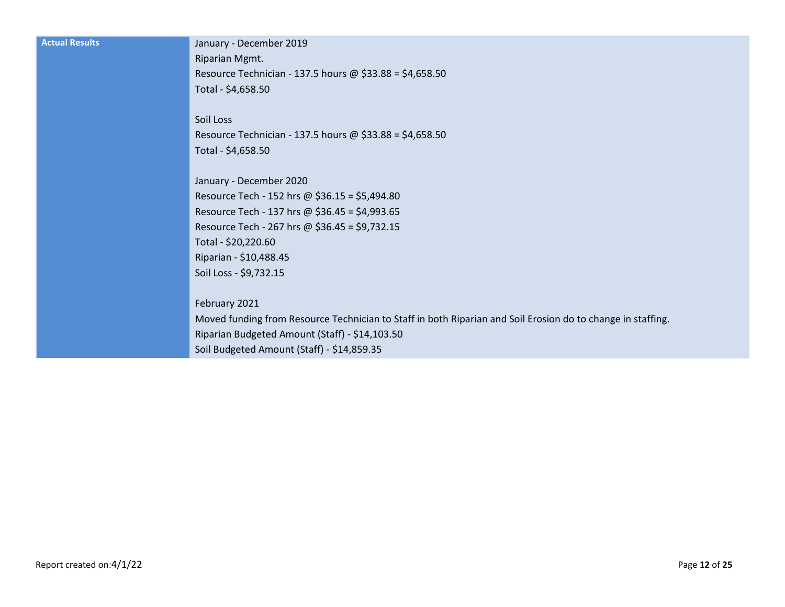| <b>Actual Results</b> |
|-----------------------|
|                       |

#### **Actual Results** January - December 2019

Riparian Mgmt. Resource Technician - 137.5 hours @ \$33.88 = \$4,658.50 Total - \$4,658.50

Soil Loss Resource Technician - 137.5 hours @ \$33.88 = \$4,658.50 Total - \$4,658.50

January - December 2020 Resource Tech - 152 hrs @ \$36.15 = \$5,494.80 Resource Tech - 137 hrs @ \$36.45 = \$4,993.65 Resource Tech - 267 hrs @ \$36.45 = \$9,732.15 Total - \$20,220.60 Riparian - \$10,488.45 Soil Loss - \$9,732.15

February 2021

Moved funding from Resource Technician to Staff in both Riparian and Soil Erosion do to change in staffing. Riparian Budgeted Amount (Staff) - \$14,103.50 Soil Budgeted Amount (Staff) - \$14,859.35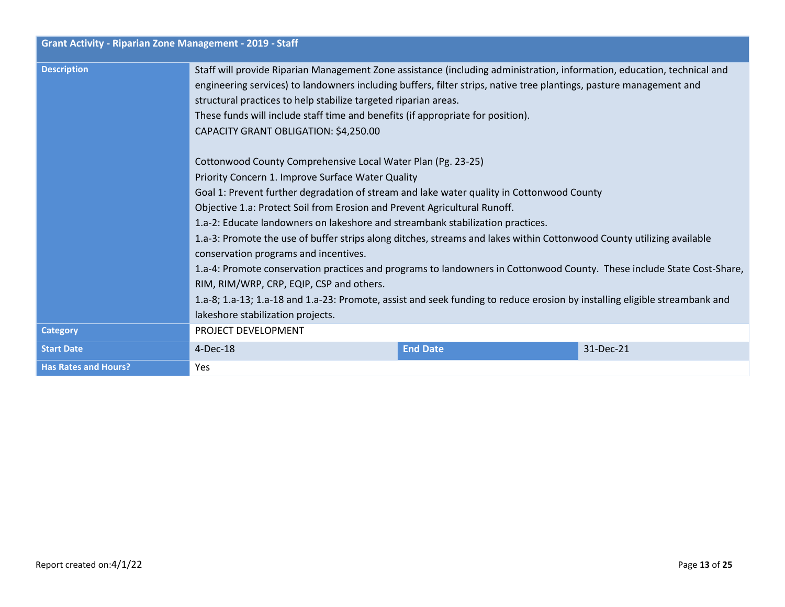| <b>Grant Activity - Riparian Zone Management - 2019 - Staff</b> |                                                                                                                                                                                                                                                                                                                                                                                                                                                                                                                                                                                                                                                                                                                                                                                                                                                                                                                                                                                                                                                                                                                                                                                                                                                                                                                                           |                 |           |
|-----------------------------------------------------------------|-------------------------------------------------------------------------------------------------------------------------------------------------------------------------------------------------------------------------------------------------------------------------------------------------------------------------------------------------------------------------------------------------------------------------------------------------------------------------------------------------------------------------------------------------------------------------------------------------------------------------------------------------------------------------------------------------------------------------------------------------------------------------------------------------------------------------------------------------------------------------------------------------------------------------------------------------------------------------------------------------------------------------------------------------------------------------------------------------------------------------------------------------------------------------------------------------------------------------------------------------------------------------------------------------------------------------------------------|-----------------|-----------|
| <b>Description</b>                                              | Staff will provide Riparian Management Zone assistance (including administration, information, education, technical and<br>engineering services) to landowners including buffers, filter strips, native tree plantings, pasture management and<br>structural practices to help stabilize targeted riparian areas.<br>These funds will include staff time and benefits (if appropriate for position).<br>CAPACITY GRANT OBLIGATION: \$4,250.00<br>Cottonwood County Comprehensive Local Water Plan (Pg. 23-25)<br>Priority Concern 1. Improve Surface Water Quality<br>Goal 1: Prevent further degradation of stream and lake water quality in Cottonwood County<br>Objective 1.a: Protect Soil from Erosion and Prevent Agricultural Runoff.<br>1.a-2: Educate landowners on lakeshore and streambank stabilization practices.<br>1.a-3: Promote the use of buffer strips along ditches, streams and lakes within Cottonwood County utilizing available<br>conservation programs and incentives.<br>1.a-4: Promote conservation practices and programs to landowners in Cottonwood County. These include State Cost-Share,<br>RIM, RIM/WRP, CRP, EQIP, CSP and others.<br>1.a-8; 1.a-13; 1.a-18 and 1.a-23: Promote, assist and seek funding to reduce erosion by installing eligible streambank and<br>lakeshore stabilization projects. |                 |           |
| <b>Category</b>                                                 | PROJECT DEVELOPMENT                                                                                                                                                                                                                                                                                                                                                                                                                                                                                                                                                                                                                                                                                                                                                                                                                                                                                                                                                                                                                                                                                                                                                                                                                                                                                                                       |                 |           |
| <b>Start Date</b>                                               | $4-Dec-18$                                                                                                                                                                                                                                                                                                                                                                                                                                                                                                                                                                                                                                                                                                                                                                                                                                                                                                                                                                                                                                                                                                                                                                                                                                                                                                                                | <b>End Date</b> | 31-Dec-21 |
| <b>Has Rates and Hours?</b>                                     | Yes                                                                                                                                                                                                                                                                                                                                                                                                                                                                                                                                                                                                                                                                                                                                                                                                                                                                                                                                                                                                                                                                                                                                                                                                                                                                                                                                       |                 |           |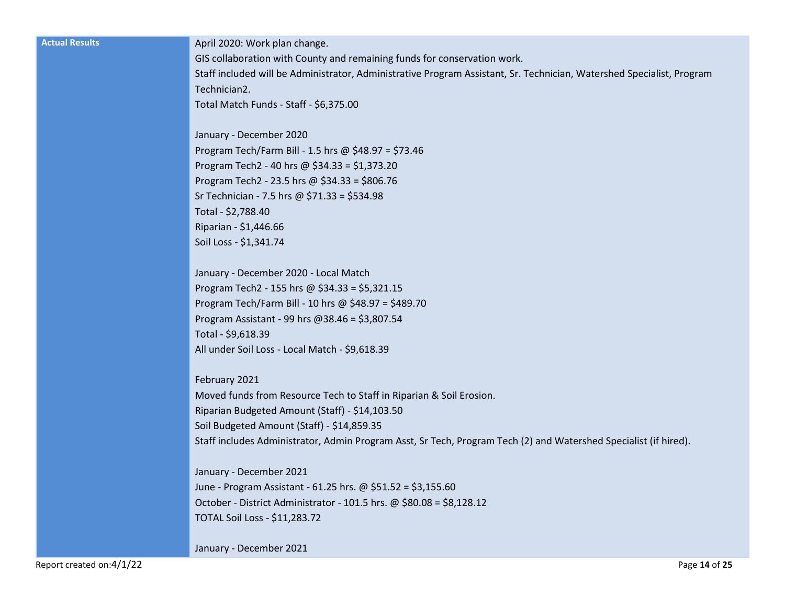| <b>Actual Results</b>    | April 2020: Work plan change.                                                                                         |
|--------------------------|-----------------------------------------------------------------------------------------------------------------------|
|                          | GIS collaboration with County and remaining funds for conservation work.                                              |
|                          | Staff included will be Administrator, Administrative Program Assistant, Sr. Technician, Watershed Specialist, Program |
|                          | Technician2.                                                                                                          |
|                          | Total Match Funds - Staff - \$6,375.00                                                                                |
|                          | January - December 2020                                                                                               |
|                          | Program Tech/Farm Bill - 1.5 hrs @ \$48.97 = \$73.46                                                                  |
|                          | Program Tech2 - 40 hrs @ $$34.33 = $1,373.20$                                                                         |
|                          | Program Tech2 - 23.5 hrs @ \$34.33 = \$806.76                                                                         |
|                          | Sr Technician - 7.5 hrs @ \$71.33 = \$534.98                                                                          |
|                          | Total - \$2,788.40                                                                                                    |
|                          | Riparian - \$1,446.66                                                                                                 |
|                          | Soil Loss - \$1,341.74                                                                                                |
|                          | January - December 2020 - Local Match                                                                                 |
|                          | Program Tech2 - 155 hrs @ \$34.33 = \$5,321.15                                                                        |
|                          | Program Tech/Farm Bill - 10 hrs @ \$48.97 = \$489.70                                                                  |
|                          | Program Assistant - 99 hrs @38.46 = \$3,807.54                                                                        |
|                          | Total - \$9,618.39                                                                                                    |
|                          | All under Soil Loss - Local Match - \$9,618.39                                                                        |
|                          | February 2021                                                                                                         |
|                          | Moved funds from Resource Tech to Staff in Riparian & Soil Erosion.                                                   |
|                          | Riparian Budgeted Amount (Staff) - \$14,103.50                                                                        |
|                          | Soil Budgeted Amount (Staff) - \$14,859.35                                                                            |
|                          | Staff includes Administrator, Admin Program Asst, Sr Tech, Program Tech (2) and Watershed Specialist (if hired).      |
|                          | January - December 2021                                                                                               |
|                          | June - Program Assistant - 61.25 hrs. @ \$51.52 = \$3,155.60                                                          |
|                          | October - District Administrator - 101.5 hrs. @ \$80.08 = \$8,128.12                                                  |
|                          | TOTAL Soil Loss - \$11,283.72                                                                                         |
|                          | January - December 2021                                                                                               |
| Report created on:4/1/22 | Page 14 of 25                                                                                                         |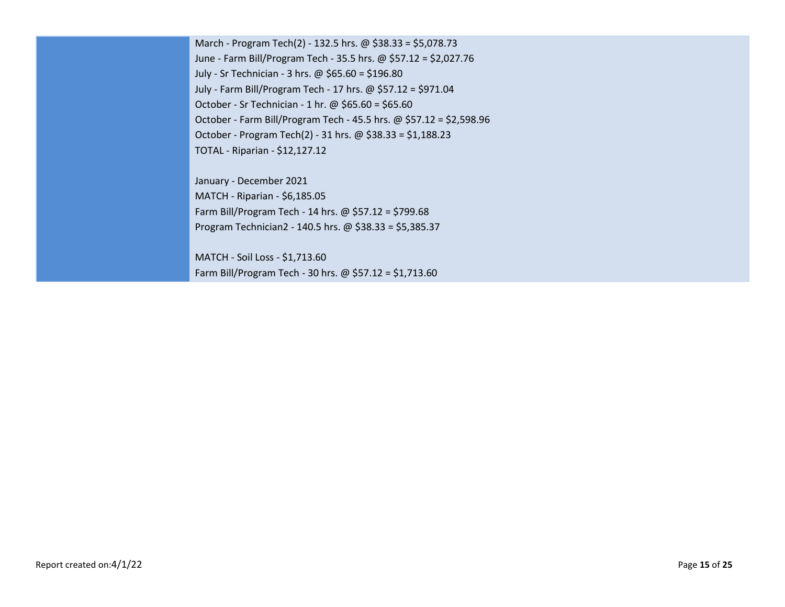March - Program Tech(2) - 132.5 hrs. @ \$38.33 = \$5,078.73 June - Farm Bill/Program Tech - 35.5 hrs. @ \$57.12 = \$2,027.76 July - Sr Technician - 3 hrs. @ \$65.60 = \$196.80 July - Farm Bill/Program Tech - 17 hrs. @ \$57.12 = \$971.04 October - Sr Technician - 1 hr. @ \$65.60 = \$65.60 October - Farm Bill/Program Tech - 45.5 hrs. @ \$57.12 = \$2,598.96 October - Program Tech(2) - 31 hrs. @ \$38.33 = \$1,188.23 TOTAL - Riparian - \$12,127.12

January - December 2021 MATCH - Riparian - \$6,185.05 Farm Bill/Program Tech - 14 hrs. @ \$57.12 = \$799.68 Program Technician2 - 140.5 hrs. @ \$38.33 = \$5,385.37

MATCH - Soil Loss - \$1,713.60 Farm Bill/Program Tech - 30 hrs. @ \$57.12 = \$1,713.60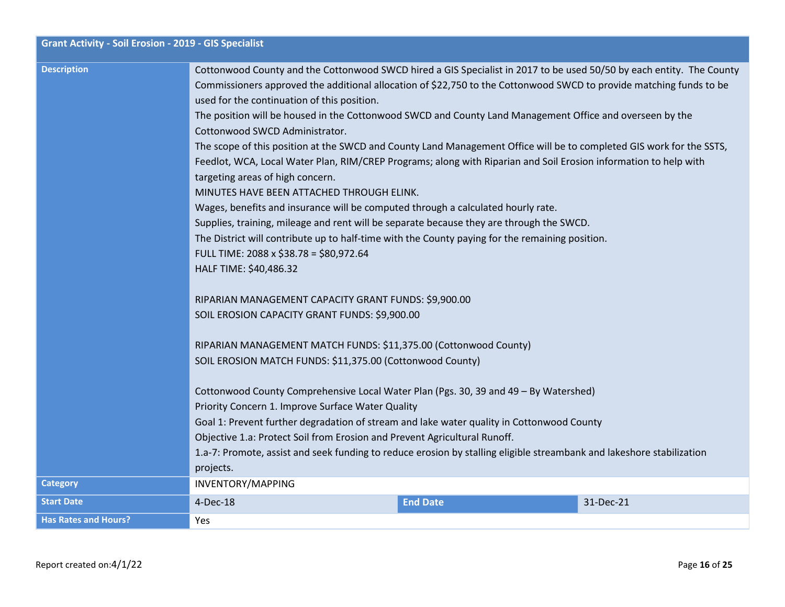| <b>Grant Activity - Soil Erosion - 2019 - GIS Specialist</b> |                                                                                                                                                                                                                                                                                                                                                                                                                                                                                                                                                                                                                                                                                                                                                                                                                                                                                                                                                                                                                                                                                                                                                                                                                                                                                                                                                                         |                 |           |
|--------------------------------------------------------------|-------------------------------------------------------------------------------------------------------------------------------------------------------------------------------------------------------------------------------------------------------------------------------------------------------------------------------------------------------------------------------------------------------------------------------------------------------------------------------------------------------------------------------------------------------------------------------------------------------------------------------------------------------------------------------------------------------------------------------------------------------------------------------------------------------------------------------------------------------------------------------------------------------------------------------------------------------------------------------------------------------------------------------------------------------------------------------------------------------------------------------------------------------------------------------------------------------------------------------------------------------------------------------------------------------------------------------------------------------------------------|-----------------|-----------|
| <b>Description</b>                                           | Cottonwood County and the Cottonwood SWCD hired a GIS Specialist in 2017 to be used 50/50 by each entity. The County<br>Commissioners approved the additional allocation of \$22,750 to the Cottonwood SWCD to provide matching funds to be<br>used for the continuation of this position.<br>The position will be housed in the Cottonwood SWCD and County Land Management Office and overseen by the<br>Cottonwood SWCD Administrator.<br>The scope of this position at the SWCD and County Land Management Office will be to completed GIS work for the SSTS,<br>Feedlot, WCA, Local Water Plan, RIM/CREP Programs; along with Riparian and Soil Erosion information to help with<br>targeting areas of high concern.<br>MINUTES HAVE BEEN ATTACHED THROUGH ELINK.<br>Wages, benefits and insurance will be computed through a calculated hourly rate.<br>Supplies, training, mileage and rent will be separate because they are through the SWCD.<br>The District will contribute up to half-time with the County paying for the remaining position.<br>FULL TIME: 2088 x \$38.78 = \$80,972.64<br>HALF TIME: \$40,486.32<br>RIPARIAN MANAGEMENT CAPACITY GRANT FUNDS: \$9,900.00<br>SOIL EROSION CAPACITY GRANT FUNDS: \$9,900.00<br>RIPARIAN MANAGEMENT MATCH FUNDS: \$11,375.00 (Cottonwood County)<br>SOIL EROSION MATCH FUNDS: \$11,375.00 (Cottonwood County) |                 |           |
|                                                              | Cottonwood County Comprehensive Local Water Plan (Pgs. 30, 39 and 49 - By Watershed)<br>Priority Concern 1. Improve Surface Water Quality                                                                                                                                                                                                                                                                                                                                                                                                                                                                                                                                                                                                                                                                                                                                                                                                                                                                                                                                                                                                                                                                                                                                                                                                                               |                 |           |
|                                                              | Goal 1: Prevent further degradation of stream and lake water quality in Cottonwood County                                                                                                                                                                                                                                                                                                                                                                                                                                                                                                                                                                                                                                                                                                                                                                                                                                                                                                                                                                                                                                                                                                                                                                                                                                                                               |                 |           |
|                                                              | Objective 1.a: Protect Soil from Erosion and Prevent Agricultural Runoff.                                                                                                                                                                                                                                                                                                                                                                                                                                                                                                                                                                                                                                                                                                                                                                                                                                                                                                                                                                                                                                                                                                                                                                                                                                                                                               |                 |           |
|                                                              | 1.a-7: Promote, assist and seek funding to reduce erosion by stalling eligible streambank and lakeshore stabilization<br>projects.                                                                                                                                                                                                                                                                                                                                                                                                                                                                                                                                                                                                                                                                                                                                                                                                                                                                                                                                                                                                                                                                                                                                                                                                                                      |                 |           |
| <b>Category</b>                                              | INVENTORY/MAPPING                                                                                                                                                                                                                                                                                                                                                                                                                                                                                                                                                                                                                                                                                                                                                                                                                                                                                                                                                                                                                                                                                                                                                                                                                                                                                                                                                       |                 |           |
| <b>Start Date</b>                                            | 4-Dec-18                                                                                                                                                                                                                                                                                                                                                                                                                                                                                                                                                                                                                                                                                                                                                                                                                                                                                                                                                                                                                                                                                                                                                                                                                                                                                                                                                                | <b>End Date</b> | 31-Dec-21 |
| <b>Has Rates and Hours?</b>                                  | Yes                                                                                                                                                                                                                                                                                                                                                                                                                                                                                                                                                                                                                                                                                                                                                                                                                                                                                                                                                                                                                                                                                                                                                                                                                                                                                                                                                                     |                 |           |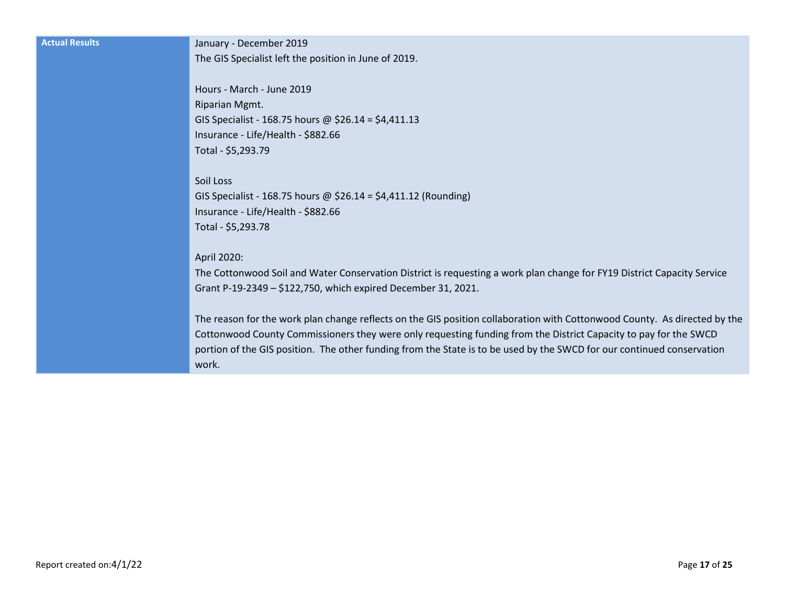**Actual Results** January - December 2019 The GIS Specialist left the position in June of 2019.

> Hours - March - June 2019 Riparian Mgmt. GIS Specialist - 168.75 hours @ \$26.14 = \$4,411.13 Insurance - Life/Health - \$882.66 Total - \$5,293.79

Soil Loss GIS Specialist - 168.75 hours @ \$26.14 = \$4,411.12 (Rounding) Insurance - Life/Health - \$882.66 Total - \$5,293.78

April 2020:

The Cottonwood Soil and Water Conservation District is requesting a work plan change for FY19 District Capacity Service Grant P-19-2349 – \$122,750, which expired December 31, 2021.

The reason for the work plan change reflects on the GIS position collaboration with Cottonwood County. As directed by the Cottonwood County Commissioners they were only requesting funding from the District Capacity to pay for the SWCD portion of the GIS position. The other funding from the State is to be used by the SWCD for our continued conservation work.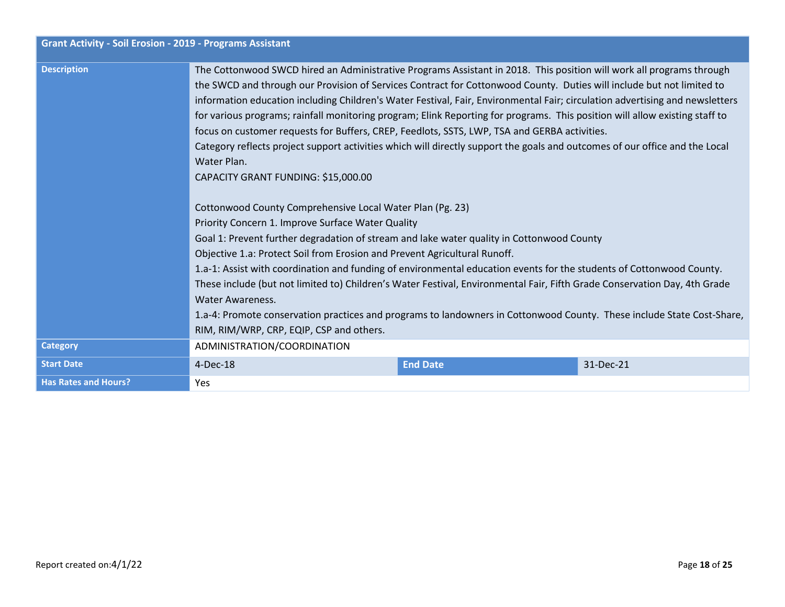| <b>Grant Activity - Soil Erosion - 2019 - Programs Assistant</b> |                                                                                                                                                                                                                                                                                                                                                                                                                                                                                                                                                                                                                                                                                                                                                                                                   |                 |           |
|------------------------------------------------------------------|---------------------------------------------------------------------------------------------------------------------------------------------------------------------------------------------------------------------------------------------------------------------------------------------------------------------------------------------------------------------------------------------------------------------------------------------------------------------------------------------------------------------------------------------------------------------------------------------------------------------------------------------------------------------------------------------------------------------------------------------------------------------------------------------------|-----------------|-----------|
| <b>Description</b>                                               | The Cottonwood SWCD hired an Administrative Programs Assistant in 2018. This position will work all programs through<br>the SWCD and through our Provision of Services Contract for Cottonwood County. Duties will include but not limited to<br>information education including Children's Water Festival, Fair, Environmental Fair; circulation advertising and newsletters<br>for various programs; rainfall monitoring program; Elink Reporting for programs. This position will allow existing staff to<br>focus on customer requests for Buffers, CREP, Feedlots, SSTS, LWP, TSA and GERBA activities.<br>Category reflects project support activities which will directly support the goals and outcomes of our office and the Local<br>Water Plan.<br>CAPACITY GRANT FUNDING: \$15,000.00 |                 |           |
|                                                                  | Cottonwood County Comprehensive Local Water Plan (Pg. 23)<br>Priority Concern 1. Improve Surface Water Quality<br>Goal 1: Prevent further degradation of stream and lake water quality in Cottonwood County<br>Objective 1.a: Protect Soil from Erosion and Prevent Agricultural Runoff.<br>1.a-1: Assist with coordination and funding of environmental education events for the students of Cottonwood County.<br>These include (but not limited to) Children's Water Festival, Environmental Fair, Fifth Grade Conservation Day, 4th Grade<br><b>Water Awareness.</b><br>1.a-4: Promote conservation practices and programs to landowners in Cottonwood County. These include State Cost-Share,<br>RIM, RIM/WRP, CRP, EQIP, CSP and others.                                                    |                 |           |
| <b>Category</b>                                                  | ADMINISTRATION/COORDINATION                                                                                                                                                                                                                                                                                                                                                                                                                                                                                                                                                                                                                                                                                                                                                                       |                 |           |
| <b>Start Date</b>                                                | 4-Dec-18                                                                                                                                                                                                                                                                                                                                                                                                                                                                                                                                                                                                                                                                                                                                                                                          | <b>End Date</b> | 31-Dec-21 |
| <b>Has Rates and Hours?</b>                                      | Yes                                                                                                                                                                                                                                                                                                                                                                                                                                                                                                                                                                                                                                                                                                                                                                                               |                 |           |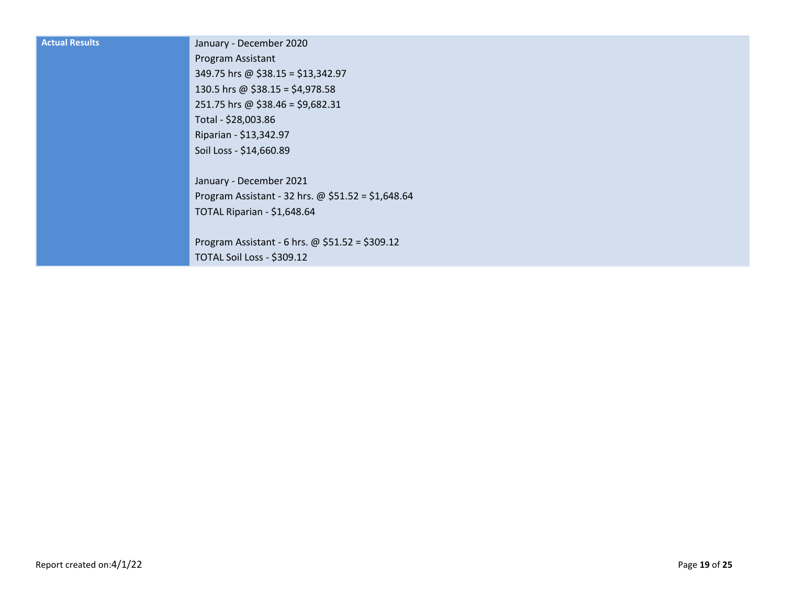| <b>Actual Results</b> | January - December 2020                            |
|-----------------------|----------------------------------------------------|
|                       | Program Assistant                                  |
|                       | 349.75 hrs @ \$38.15 = \$13,342.97                 |
|                       | 130.5 hrs @ \$38.15 = \$4,978.58                   |
|                       | 251.75 hrs @ \$38.46 = \$9,682.31                  |
|                       | Total - \$28,003.86                                |
|                       | Riparian - \$13,342.97                             |
|                       | Soil Loss - \$14,660.89                            |
|                       |                                                    |
|                       | January - December 2021                            |
|                       | Program Assistant - 32 hrs. @ $$51.52 = $1,648.64$ |
|                       | TOTAL Riparian - \$1,648.64                        |
|                       |                                                    |
|                       | Program Assistant - 6 hrs. @ \$51.52 = \$309.12    |
|                       | TOTAL Soil Loss - \$309.12                         |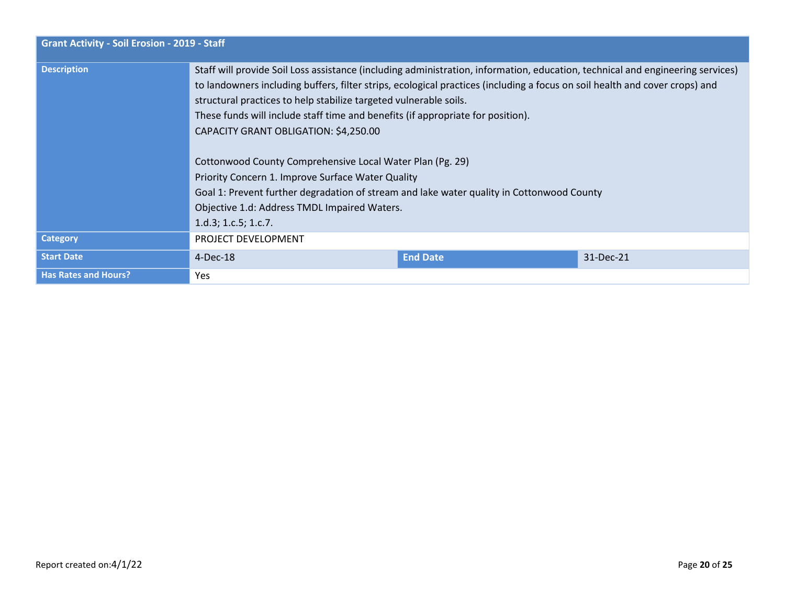| <b>Grant Activity - Soil Erosion - 2019 - Staff</b> |                                                                                                                                                                                                                                                                                                                                                                                                                                                                                                                                                                                                                                                                               |                 |           |
|-----------------------------------------------------|-------------------------------------------------------------------------------------------------------------------------------------------------------------------------------------------------------------------------------------------------------------------------------------------------------------------------------------------------------------------------------------------------------------------------------------------------------------------------------------------------------------------------------------------------------------------------------------------------------------------------------------------------------------------------------|-----------------|-----------|
| <b>Description</b>                                  | Staff will provide Soil Loss assistance (including administration, information, education, technical and engineering services)<br>to landowners including buffers, filter strips, ecological practices (including a focus on soil health and cover crops) and<br>structural practices to help stabilize targeted vulnerable soils.<br>These funds will include staff time and benefits (if appropriate for position).<br>CAPACITY GRANT OBLIGATION: \$4,250.00<br>Cottonwood County Comprehensive Local Water Plan (Pg. 29)<br>Priority Concern 1. Improve Surface Water Quality<br>Goal 1: Prevent further degradation of stream and lake water quality in Cottonwood County |                 |           |
|                                                     | Objective 1.d: Address TMDL Impaired Waters.<br>1.d.3; 1.c.5; 1.c.7.                                                                                                                                                                                                                                                                                                                                                                                                                                                                                                                                                                                                          |                 |           |
| <b>Category</b>                                     | PROJECT DEVELOPMENT                                                                                                                                                                                                                                                                                                                                                                                                                                                                                                                                                                                                                                                           |                 |           |
| <b>Start Date</b>                                   | $4$ -Dec-18                                                                                                                                                                                                                                                                                                                                                                                                                                                                                                                                                                                                                                                                   | <b>End Date</b> | 31-Dec-21 |
| <b>Has Rates and Hours?</b>                         | <b>Yes</b>                                                                                                                                                                                                                                                                                                                                                                                                                                                                                                                                                                                                                                                                    |                 |           |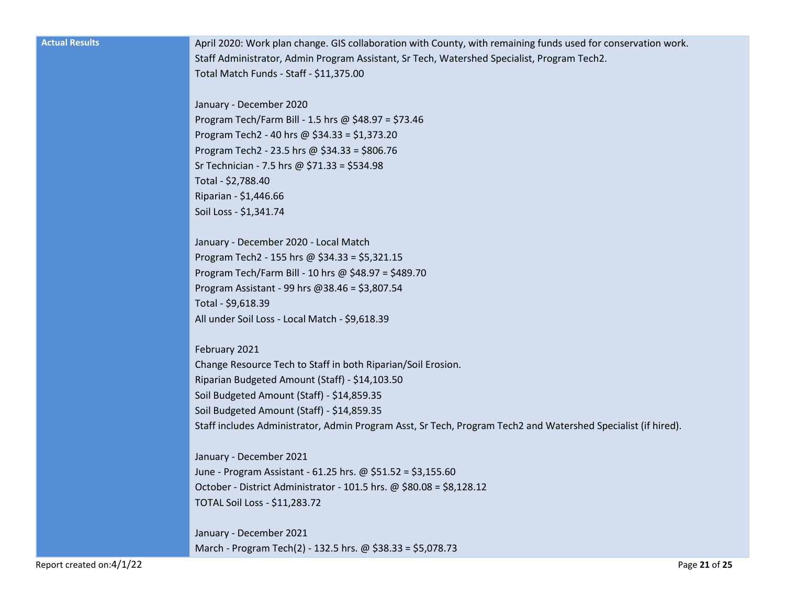| <b>Actual Results</b> |  |  |
|-----------------------|--|--|
|                       |  |  |
|                       |  |  |

April 2020: Work plan change. GIS collaboration with County, with remaining funds used for conservation work. Staff Administrator, Admin Program Assistant, Sr Tech, Watershed Specialist, Program Tech2. Total Match Funds - Staff - \$11,375.00

January - December 2020 Program Tech/Farm Bill - 1.5 hrs @ \$48.97 = \$73.46 Program Tech2 - 40 hrs @ \$34.33 = \$1,373.20 Program Tech2 - 23.5 hrs @ \$34.33 = \$806.76 Sr Technician - 7.5 hrs @ \$71.33 = \$534.98 Total - \$2,788.40 Riparian - \$1,446.66 Soil Loss - \$1,341.74

January - December 2020 - Local Match Program Tech2 - 155 hrs @ \$34.33 = \$5,321.15 Program Tech/Farm Bill - 10 hrs @ \$48.97 = \$489.70 Program Assistant - 99 hrs @38.46 = \$3,807.54 Total - \$9,618.39 All under Soil Loss - Local Match - \$9,618.39

February 2021 Change Resource Tech to Staff in both Riparian/Soil Erosion. Riparian Budgeted Amount (Staff) - \$14,103.50 Soil Budgeted Amount (Staff) - \$14,859.35 Soil Budgeted Amount (Staff) - \$14,859.35 Staff includes Administrator, Admin Program Asst, Sr Tech, Program Tech2 and Watershed Specialist (if hired).

January - December 2021 June - Program Assistant - 61.25 hrs. @ \$51.52 = \$3,155.60 October - District Administrator - 101.5 hrs. @ \$80.08 = \$8,128.12 TOTAL Soil Loss - \$11,283.72

January - December 2021 March - Program Tech(2) - 132.5 hrs. @ \$38.33 = \$5,078.73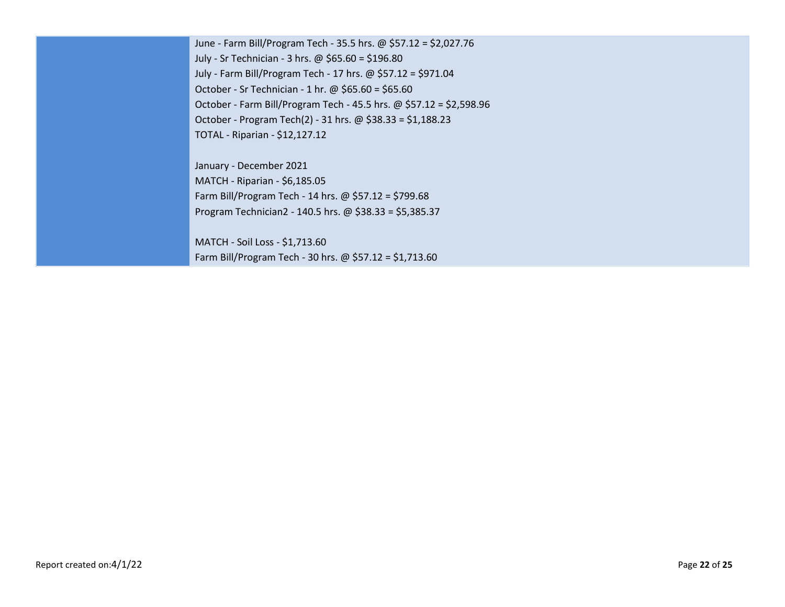June - Farm Bill/Program Tech - 35.5 hrs. @ \$57.12 = \$2,027.76 July - Sr Technician - 3 hrs. @ \$65.60 = \$196.80 July - Farm Bill/Program Tech - 17 hrs. @ \$57.12 = \$971.04 October - Sr Technician - 1 hr. @ \$65.60 = \$65.60 October - Farm Bill/Program Tech - 45.5 hrs. @ \$57.12 = \$2,598.96 October - Program Tech(2) - 31 hrs. @ \$38.33 = \$1,188.23 TOTAL - Riparian - \$12,127.12

January - December 2021 MATCH - Riparian - \$6,185.05 Farm Bill/Program Tech - 14 hrs. @ \$57.12 = \$799.68 Program Technician2 - 140.5 hrs. @ \$38.33 = \$5,385.37

MATCH - Soil Loss - \$1,713.60 Farm Bill/Program Tech - 30 hrs. @ \$57.12 = \$1,713.60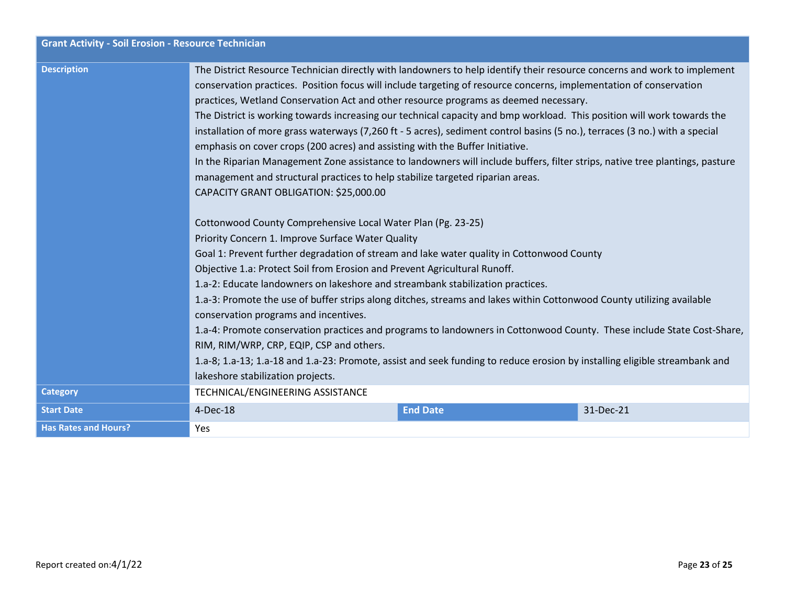| <b>Grant Activity - Soil Erosion - Resource Technician</b> |                                                                                                                                                                                                                                                                                                                                                                                                                                                                                                                                                                                                                                                                                                                                                                                                                                                                                                                                                                                                                                                                                                                                                                 |                 |           |
|------------------------------------------------------------|-----------------------------------------------------------------------------------------------------------------------------------------------------------------------------------------------------------------------------------------------------------------------------------------------------------------------------------------------------------------------------------------------------------------------------------------------------------------------------------------------------------------------------------------------------------------------------------------------------------------------------------------------------------------------------------------------------------------------------------------------------------------------------------------------------------------------------------------------------------------------------------------------------------------------------------------------------------------------------------------------------------------------------------------------------------------------------------------------------------------------------------------------------------------|-----------------|-----------|
| <b>Description</b>                                         | The District Resource Technician directly with landowners to help identify their resource concerns and work to implement<br>conservation practices. Position focus will include targeting of resource concerns, implementation of conservation<br>practices, Wetland Conservation Act and other resource programs as deemed necessary.<br>The District is working towards increasing our technical capacity and bmp workload. This position will work towards the<br>installation of more grass waterways (7,260 ft - 5 acres), sediment control basins (5 no.), terraces (3 no.) with a special<br>emphasis on cover crops (200 acres) and assisting with the Buffer Initiative.<br>In the Riparian Management Zone assistance to landowners will include buffers, filter strips, native tree plantings, pasture<br>management and structural practices to help stabilize targeted riparian areas.<br>CAPACITY GRANT OBLIGATION: \$25,000.00<br>Cottonwood County Comprehensive Local Water Plan (Pg. 23-25)<br>Priority Concern 1. Improve Surface Water Quality<br>Goal 1: Prevent further degradation of stream and lake water quality in Cottonwood County |                 |           |
|                                                            | Objective 1.a: Protect Soil from Erosion and Prevent Agricultural Runoff.<br>1.a-2: Educate landowners on lakeshore and streambank stabilization practices.<br>1.a-3: Promote the use of buffer strips along ditches, streams and lakes within Cottonwood County utilizing available<br>conservation programs and incentives.                                                                                                                                                                                                                                                                                                                                                                                                                                                                                                                                                                                                                                                                                                                                                                                                                                   |                 |           |
|                                                            | 1.a-4: Promote conservation practices and programs to landowners in Cottonwood County. These include State Cost-Share,<br>RIM, RIM/WRP, CRP, EQIP, CSP and others.<br>1.a-8; 1.a-13; 1.a-18 and 1.a-23: Promote, assist and seek funding to reduce erosion by installing eligible streambank and<br>lakeshore stabilization projects.                                                                                                                                                                                                                                                                                                                                                                                                                                                                                                                                                                                                                                                                                                                                                                                                                           |                 |           |
| <b>Category</b>                                            | TECHNICAL/ENGINEERING ASSISTANCE                                                                                                                                                                                                                                                                                                                                                                                                                                                                                                                                                                                                                                                                                                                                                                                                                                                                                                                                                                                                                                                                                                                                |                 |           |
| <b>Start Date</b>                                          | 4-Dec-18                                                                                                                                                                                                                                                                                                                                                                                                                                                                                                                                                                                                                                                                                                                                                                                                                                                                                                                                                                                                                                                                                                                                                        | <b>End Date</b> | 31-Dec-21 |
| <b>Has Rates and Hours?</b>                                | Yes                                                                                                                                                                                                                                                                                                                                                                                                                                                                                                                                                                                                                                                                                                                                                                                                                                                                                                                                                                                                                                                                                                                                                             |                 |           |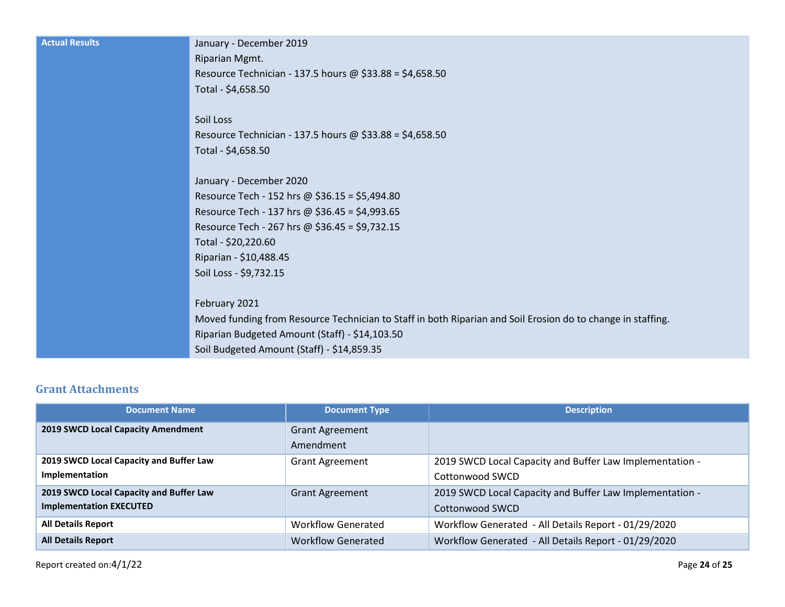| <b>Actual Results</b> | January - December 2019                                                                                     |
|-----------------------|-------------------------------------------------------------------------------------------------------------|
|                       | Riparian Mgmt.                                                                                              |
|                       | Resource Technician - 137.5 hours @ $$33.88 = $4,658.50$                                                    |
|                       | Total - \$4,658.50                                                                                          |
|                       |                                                                                                             |
|                       | Soil Loss                                                                                                   |
|                       | Resource Technician - 137.5 hours @ $$33.88 = $4,658.50$                                                    |
|                       | Total - \$4,658.50                                                                                          |
|                       |                                                                                                             |
|                       | January - December 2020                                                                                     |
|                       | Resource Tech - 152 hrs @ $$36.15 = $5,494.80$                                                              |
|                       | Resource Tech - 137 hrs @ \$36.45 = \$4,993.65                                                              |
|                       | Resource Tech - 267 hrs @ \$36.45 = \$9,732.15                                                              |
|                       | Total - \$20,220.60                                                                                         |
|                       | Riparian - \$10,488.45                                                                                      |
|                       | Soil Loss - \$9,732.15                                                                                      |
|                       |                                                                                                             |
|                       | February 2021                                                                                               |
|                       | Moved funding from Resource Technician to Staff in both Riparian and Soil Erosion do to change in staffing. |
|                       | Riparian Budgeted Amount (Staff) - \$14,103.50                                                              |
|                       | Soil Budgeted Amount (Staff) - \$14,859.35                                                                  |

# **Grant Attachments**

| <b>Document Name</b>                                                      | <b>Document Type</b>                | <b>Description</b>                                                          |
|---------------------------------------------------------------------------|-------------------------------------|-----------------------------------------------------------------------------|
| 2019 SWCD Local Capacity Amendment                                        | <b>Grant Agreement</b><br>Amendment |                                                                             |
| 2019 SWCD Local Capacity and Buffer Law<br>Implementation                 | <b>Grant Agreement</b>              | 2019 SWCD Local Capacity and Buffer Law Implementation -<br>Cottonwood SWCD |
| 2019 SWCD Local Capacity and Buffer Law<br><b>Implementation EXECUTED</b> | <b>Grant Agreement</b>              | 2019 SWCD Local Capacity and Buffer Law Implementation -<br>Cottonwood SWCD |
| <b>All Details Report</b>                                                 | <b>Workflow Generated</b>           | Workflow Generated - All Details Report - 01/29/2020                        |
| <b>All Details Report</b>                                                 | <b>Workflow Generated</b>           | Workflow Generated - All Details Report - 01/29/2020                        |